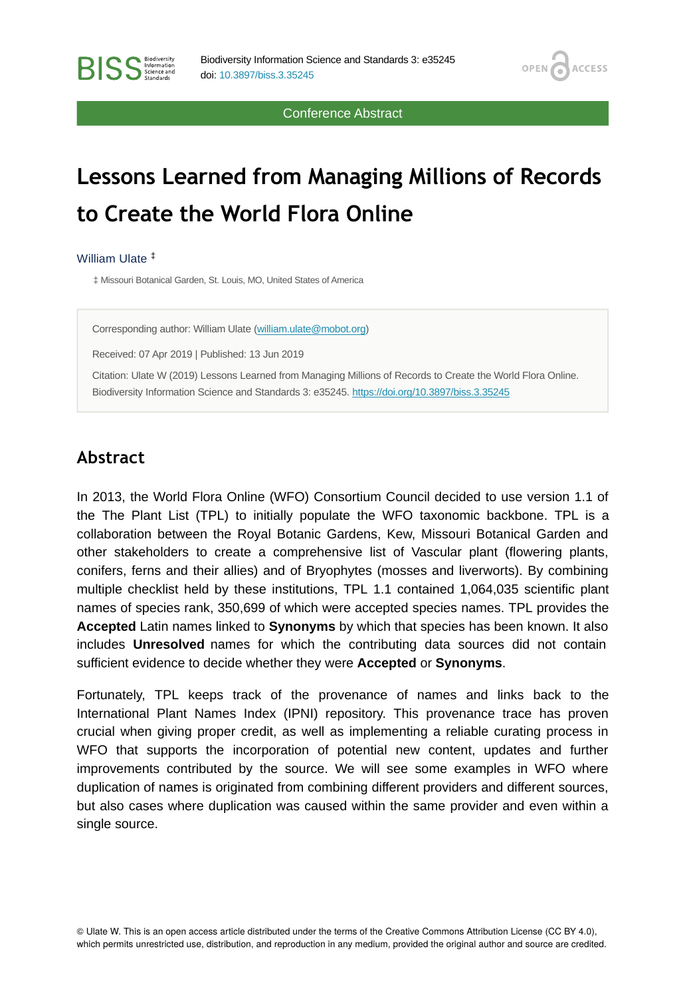Conference Abstract

**OPEN** 

**ACCESS** 

## **Lessons Learned from Managing Millions of Records to Create the World Flora Online**

William Ulate ‡

**RISS** Science and

‡ Missouri Botanical Garden, St. Louis, MO, United States of America

Corresponding author: William Ulate [\(william.ulate@mobot.org\)](mailto:william.ulate@mobot.org)

Received: 07 Apr 2019 | Published: 13 Jun 2019

Citation: Ulate W (2019) Lessons Learned from Managing Millions of Records to Create the World Flora Online. Biodiversity Information Science and Standards 3: e35245.<https://doi.org/10.3897/biss.3.35245>

## **Abstract**

In 2013, the World Flora Online (WFO) Consortium Council decided to use version 1.1 of the The Plant List (TPL) to initially populate the WFO taxonomic backbone. TPL is a collaboration between the Royal Botanic Gardens, Kew, Missouri Botanical Garden and other stakeholders to create a comprehensive list of Vascular plant (flowering plants, conifers, ferns and their allies) and of Bryophytes (mosses and liverworts). By combining multiple checklist held by these institutions, TPL 1.1 contained 1,064,035 scientific plant names of species rank, 350,699 of which were accepted species names. TPL provides the **Accepted** Latin names linked to **Synonyms** by which that species has been known. It also includes **Unresolved** names for which the contributing data sources did not contain sufficient evidence to decide whether they were **Accepted** or **Synonyms**.

Fortunately, TPL keeps track of the provenance of names and links back to the International Plant Names Index (IPNI) repository. This provenance trace has proven crucial when giving proper credit, as well as implementing a reliable curating process in WFO that supports the incorporation of potential new content, updates and further improvements contributed by the source. We will see some examples in WFO where duplication of names is originated from combining different providers and different sources, but also cases where duplication was caused within the same provider and even within a single source.